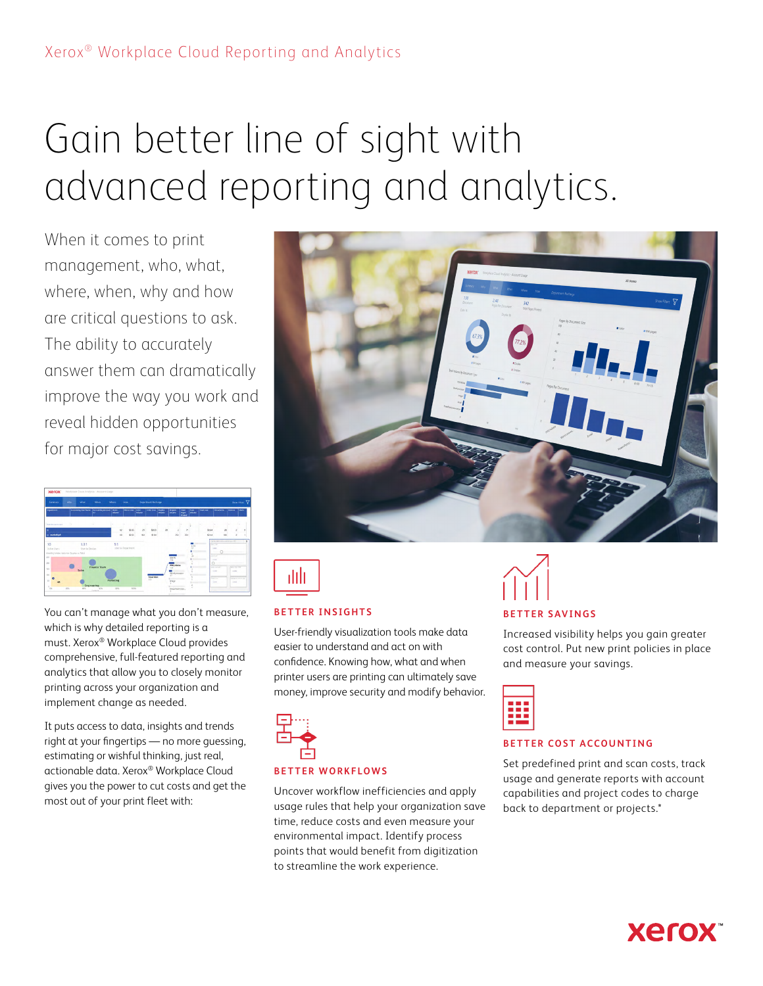# Gain better line of sight with advanced reporting and analytics.

When it comes to print management, who, what, where, when, why and how are critical questions to ask. The ability to accurately answer them can dramatically improve the way you work and reveal hidden opportunities for major cost savings.



You can't manage what you don't measure, which is why detailed reporting is a must. Xerox® Workplace Cloud provides comprehensive, full-featured reporting and analytics that allow you to closely monitor printing across your organization and implement change as needed.

It puts access to data, insights and trends right at your fingertips — no more guessing, estimating or wishful thinking, just real, actionable data. Xerox® Workplace Cloud gives you the power to cut costs and get the most out of your print fleet with:





#### **BETTER INSIGHTS**

User-friendly visualization tools make data easier to understand and act on with confidence. Knowing how, what and when printer users are printing can ultimately save money, improve security and modify behavior.



#### **BETTER WORKFLOWS**

Uncover workflow inefficiencies and apply usage rules that help your organization save time, reduce costs and even measure your environmental impact. Identify process points that would benefit from digitization to streamline the work experience.



Increased visibility helps you gain greater cost control. Put new print policies in place and measure your savings.



#### **BETTER COST ACCOUNTING**

Set predefined print and scan costs, track usage and generate reports with account capabilities and project codes to charge back to department or projects.\*